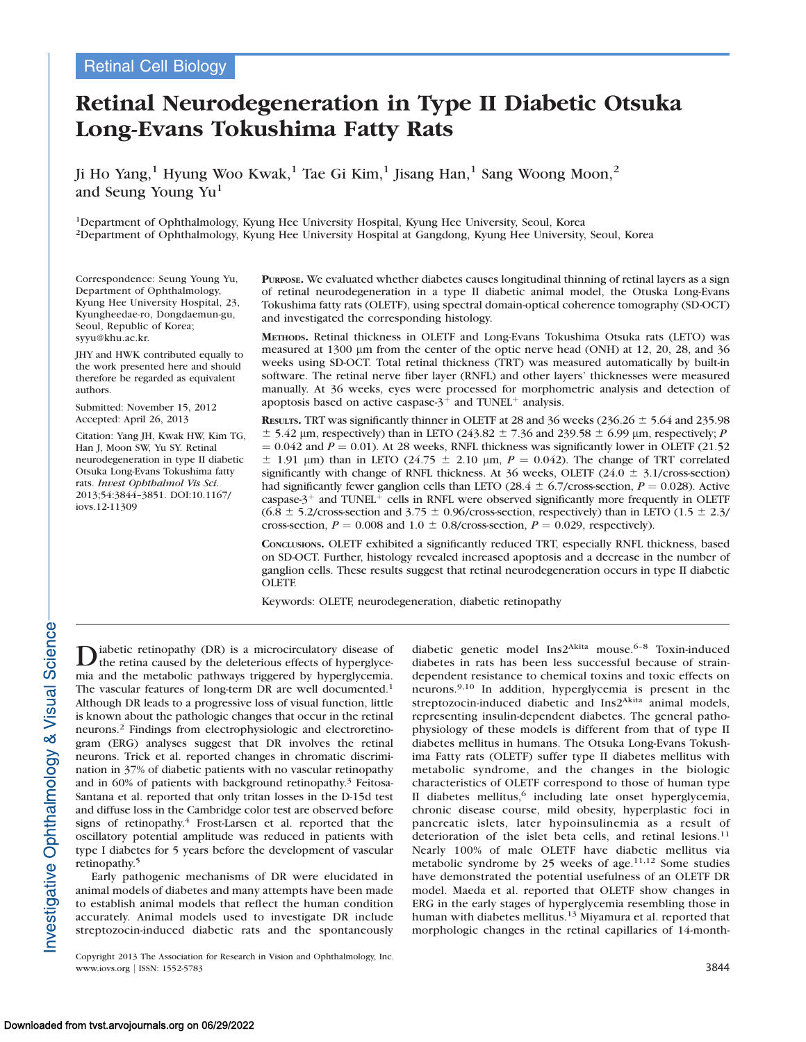# Retinal Neurodegeneration in Type II Diabetic Otsuka Long-Evans Tokushima Fatty Rats

Ji Ho Yang,<sup>1</sup> Hyung Woo Kwak,<sup>1</sup> Tae Gi Kim,<sup>1</sup> Jisang Han,<sup>1</sup> Sang Woong Moon,<sup>2</sup> and Seung Young Yu<sup>1</sup>

1Department of Ophthalmology, Kyung Hee University Hospital, Kyung Hee University, Seoul, Korea 2Department of Ophthalmology, Kyung Hee University Hospital at Gangdong, Kyung Hee University, Seoul, Korea

Correspondence: Seung Young Yu, Department of Ophthalmology, Kyung Hee University Hospital, 23, Kyungheedae-ro, Dongdaemun-gu, Seoul, Republic of Korea; syyu@khu.ac.kr.

JHY and HWK contributed equally to the work presented here and should therefore be regarded as equivalent authors.

Submitted: November 15, 2012 Accepted: April 26, 2013

Citation: Yang JH, Kwak HW, Kim TG, Han J, Moon SW, Yu SY. Retinal neurodegeneration in type II diabetic Otsuka Long-Evans Tokushima fatty rats. Invest Ophthalmol Vis Sci. 2013;54:3844–3851. DOI:10.1167/ iovs.12-11309

PURPOSE. We evaluated whether diabetes causes longitudinal thinning of retinal layers as a sign of retinal neurodegeneration in a type II diabetic animal model, the Otuska Long-Evans Tokushima fatty rats (OLETF), using spectral domain-optical coherence tomography (SD-OCT) and investigated the corresponding histology.

METHODS. Retinal thickness in OLETF and Long-Evans Tokushima Otsuka rats (LETO) was measured at 1300 lm from the center of the optic nerve head (ONH) at 12, 20, 28, and 36 weeks using SD-OCT. Total retinal thickness (TRT) was measured automatically by built-in software. The retinal nerve fiber layer (RNFL) and other layers' thicknesses were measured manually. At 36 weeks, eyes were processed for morphometric analysis and detection of apoptosis based on active caspase- $3^+$  and TUNEL<sup>+</sup> analysis.

**RESULTS.** TRT was significantly thinner in OLETF at 28 and 36 weeks (236.26  $\pm$  5.64 and 235.98  $\pm$  5.42 µm, respectively) than in LETO (243.82  $\pm$  7.36 and 239.58  $\pm$  6.99 µm, respectively; P  $= 0.042$  and  $P = 0.01$ ). At 28 weeks, RNFL thickness was significantly lower in OLETF (21.52)  $\pm$  1.91 µm) than in LETO (24.75  $\pm$  2.10 µm,  $P = 0.042$ ). The change of TRT correlated significantly with change of RNFL thickness. At 36 weeks, OLETF (24.0  $\pm$  3.1/cross-section) had significantly fewer ganglion cells than LETO (28.4  $\pm$  6.7/cross-section, P = 0.028). Active caspase- $3^+$  and TUNEL<sup> $+$ </sup> cells in RNFL were observed significantly more frequently in OLETF  $(6.8 \pm 5.2/\text{cross-section and } 3.75 \pm 0.96/\text{cross-section, respectively})$  than in LETO (1.5  $\pm$  2.3/ cross-section,  $P = 0.008$  and  $1.0 \pm 0.8$ /cross-section,  $P = 0.029$ , respectively).

CONCLUSIONS. OLETF exhibited a significantly reduced TRT, especially RNFL thickness, based on SD-OCT. Further, histology revealed increased apoptosis and a decrease in the number of ganglion cells. These results suggest that retinal neurodegeneration occurs in type II diabetic OLETF.

Keywords: OLETF, neurodegeneration, diabetic retinopathy

Diabetic retinopathy (DR) is a microcirculatory disease of the retina caused by the deleterious effects of hyperglycemia and the metabolic pathways triggered by hyperglycemia. The vascular features of long-term DR are well documented.<sup>1</sup> Although DR leads to a progressive loss of visual function, little is known about the pathologic changes that occur in the retinal neurons.<sup>2</sup> Findings from electrophysiologic and electroretinogram (ERG) analyses suggest that DR involves the retinal neurons. Trick et al. reported changes in chromatic discrimination in 37% of diabetic patients with no vascular retinopathy and in 60% of patients with background retinopathy.<sup>3</sup> Feitosa-Santana et al. reported that only tritan losses in the D-15d test and diffuse loss in the Cambridge color test are observed before signs of retinopathy.<sup>4</sup> Frost-Larsen et al. reported that the oscillatory potential amplitude was reduced in patients with type I diabetes for 5 years before the development of vascular retinopathy.5

Early pathogenic mechanisms of DR were elucidated in animal models of diabetes and many attempts have been made to establish animal models that reflect the human condition accurately. Animal models used to investigate DR include streptozocin-induced diabetic rats and the spontaneously diabetic genetic model Ins2<sup>Akita</sup> mouse.<sup>6-8</sup> Toxin-induced diabetes in rats has been less successful because of straindependent resistance to chemical toxins and toxic effects on neurons.9,10 In addition, hyperglycemia is present in the streptozocin-induced diabetic and Ins2<sup>Akita</sup> animal models, representing insulin-dependent diabetes. The general pathophysiology of these models is different from that of type II diabetes mellitus in humans. The Otsuka Long-Evans Tokushima Fatty rats (OLETF) suffer type II diabetes mellitus with metabolic syndrome, and the changes in the biologic characteristics of OLETF correspond to those of human type II diabetes mellitus,<sup>6</sup> including late onset hyperglycemia, chronic disease course, mild obesity, hyperplastic foci in pancreatic islets, later hypoinsulinemia as a result of deterioration of the islet beta cells, and retinal lesions.<sup>11</sup> Nearly 100% of male OLETF have diabetic mellitus via metabolic syndrome by 25 weeks of age.<sup>11,12</sup> Some studies have demonstrated the potential usefulness of an OLETF DR model. Maeda et al. reported that OLETF show changes in ERG in the early stages of hyperglycemia resembling those in human with diabetes mellitus.<sup>13</sup> Miyamura et al. reported that morphologic changes in the retinal capillaries of 14-month-

Copyright 2013 The Association for Research in Vision and Ophthalmology, Inc. www.iovs.org | ISSN: 1552-5783 3844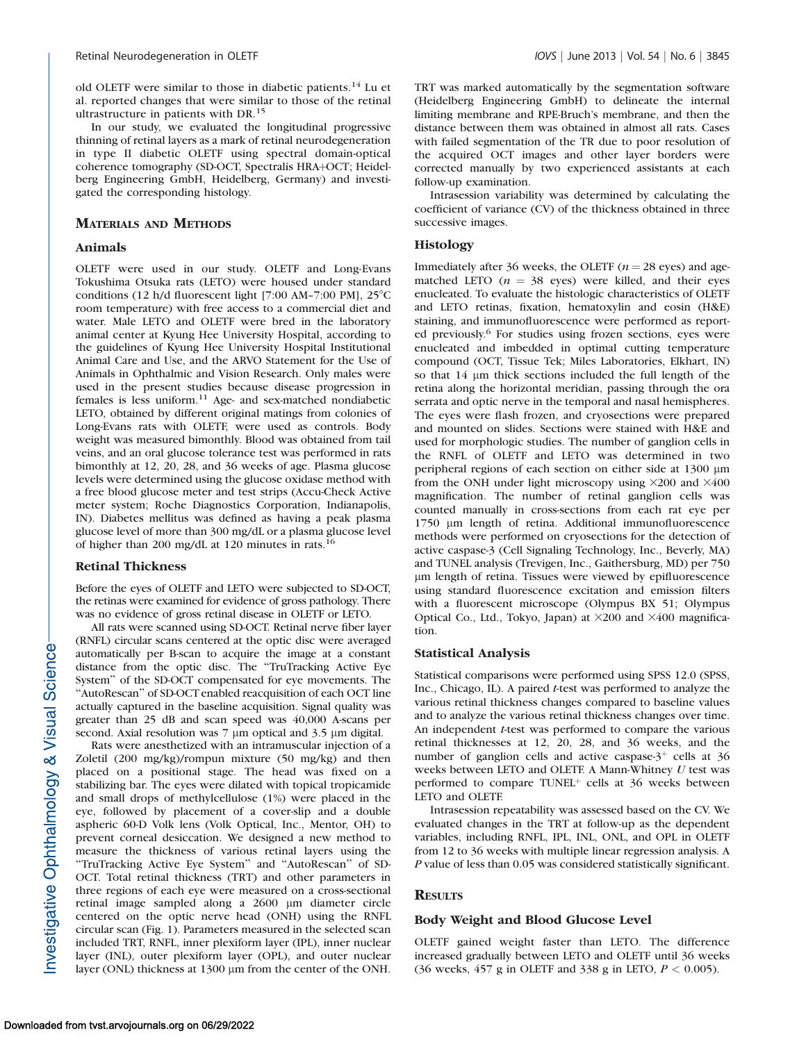old OLETF were similar to those in diabetic patients.<sup>14</sup> Lu et al. reported changes that were similar to those of the retinal ultrastructure in patients with DR.<sup>15</sup>

In our study, we evaluated the longitudinal progressive thinning of retinal layers as a mark of retinal neurodegeneration in type II diabetic OLETF using spectral domain-optical coherence tomography (SD-OCT, Spectralis HRA+OCT; Heidelberg Engineering GmbH, Heidelberg, Germany) and investigated the corresponding histology.

## MATERIALS AND METHODS

# Animals

OLETF were used in our study. OLETF and Long-Evans Tokushima Otsuka rats (LETO) were housed under standard conditions (12 h/d fluorescent light [7:00 AM–7:00 PM],  $25^{\circ}$ C room temperature) with free access to a commercial diet and water. Male LETO and OLETF were bred in the laboratory animal center at Kyung Hee University Hospital, according to the guidelines of Kyung Hee University Hospital Institutional Animal Care and Use, and the ARVO Statement for the Use of Animals in Ophthalmic and Vision Research. Only males were used in the present studies because disease progression in females is less uniform.<sup>11</sup> Age- and sex-matched nondiabetic LETO, obtained by different original matings from colonies of Long-Evans rats with OLETF, were used as controls. Body weight was measured bimonthly. Blood was obtained from tail veins, and an oral glucose tolerance test was performed in rats bimonthly at 12, 20, 28, and 36 weeks of age. Plasma glucose levels were determined using the glucose oxidase method with a free blood glucose meter and test strips (Accu-Check Active meter system; Roche Diagnostics Corporation, Indianapolis, IN). Diabetes mellitus was defined as having a peak plasma glucose level of more than 300 mg/dL or a plasma glucose level of higher than 200 mg/dL at 120 minutes in rats.<sup>16</sup>

#### Retinal Thickness

Before the eyes of OLETF and LETO were subjected to SD-OCT, the retinas were examined for evidence of gross pathology. There was no evidence of gross retinal disease in OLETF or LETO.

All rats were scanned using SD-OCT. Retinal nerve fiber layer (RNFL) circular scans centered at the optic disc were averaged automatically per B-scan to acquire the image at a constant distance from the optic disc. The ''TruTracking Active Eye System'' of the SD-OCT compensated for eye movements. The "AutoRescan" of SD-OCT enabled reacquisition of each OCT line actually captured in the baseline acquisition. Signal quality was greater than 25 dB and scan speed was 40,000 A-scans per second. Axial resolution was  $7 \mu m$  optical and  $3.5 \mu m$  digital.

Rats were anesthetized with an intramuscular injection of a Zoletil (200 mg/kg)/rompun mixture (50 mg/kg) and then placed on a positional stage. The head was fixed on a stabilizing bar. The eyes were dilated with topical tropicamide and small drops of methylcellulose (1%) were placed in the eye, followed by placement of a cover-slip and a double aspheric 60-D Volk lens (Volk Optical, Inc., Mentor, OH) to prevent corneal desiccation. We designed a new method to measure the thickness of various retinal layers using the ''TruTracking Active Eye System'' and ''AutoRescan'' of SD-OCT. Total retinal thickness (TRT) and other parameters in three regions of each eye were measured on a cross-sectional retinal image sampled along a 2600 µm diameter circle centered on the optic nerve head (ONH) using the RNFL circular scan (Fig. 1). Parameters measured in the selected scan included TRT, RNFL, inner plexiform layer (IPL), inner nuclear layer (INL), outer plexiform layer (OPL), and outer nuclear layer (ONL) thickness at 1300 µm from the center of the ONH.

TRT was marked automatically by the segmentation software (Heidelberg Engineering GmbH) to delineate the internal limiting membrane and RPE-Bruch's membrane, and then the distance between them was obtained in almost all rats. Cases with failed segmentation of the TR due to poor resolution of the acquired OCT images and other layer borders were corrected manually by two experienced assistants at each follow-up examination.

Intrasession variability was determined by calculating the coefficient of variance (CV) of the thickness obtained in three successive images.

## Histology

Immediately after 36 weeks, the OLETF ( $n = 28$  eyes) and agematched LETO ( $n = 38$  eyes) were killed, and their eyes enucleated. To evaluate the histologic characteristics of OLETF and LETO retinas, fixation, hematoxylin and eosin (H&E) staining, and immunofluorescence were performed as reported previously.6 For studies using frozen sections, eyes were enucleated and imbedded in optimal cutting temperature compound (OCT, Tissue Tek; Miles Laboratories, Elkhart, IN) so that 14 µm thick sections included the full length of the retina along the horizontal meridian, passing through the ora serrata and optic nerve in the temporal and nasal hemispheres. The eyes were flash frozen, and cryosections were prepared and mounted on slides. Sections were stained with H&E and used for morphologic studies. The number of ganglion cells in the RNFL of OLETF and LETO was determined in two peripheral regions of each section on either side at 1300 lm from the ONH under light microscopy using  $\times$ 200 and  $\times$ 400 magnification. The number of retinal ganglion cells was counted manually in cross-sections from each rat eye per 1750 lm length of retina. Additional immunofluorescence methods were performed on cryosections for the detection of active caspase-3 (Cell Signaling Technology, Inc., Beverly, MA) and TUNEL analysis (Trevigen, Inc., Gaithersburg, MD) per 750 lm length of retina. Tissues were viewed by epifluorescence using standard fluorescence excitation and emission filters with a fluorescent microscope (Olympus BX 51; Olympus Optical Co., Ltd., Tokyo, Japan) at  $\times 200$  and  $\times 400$  magnification.

### Statistical Analysis

Statistical comparisons were performed using SPSS 12.0 (SPSS, Inc., Chicago, IL). A paired *t*-test was performed to analyze the various retinal thickness changes compared to baseline values and to analyze the various retinal thickness changes over time. An independent *t*-test was performed to compare the various retinal thicknesses at 12, 20, 28, and 36 weeks, and the number of ganglion cells and active caspase- $3^+$  cells at 36 weeks between LETO and OLETF. A Mann-Whitney U test was performed to compare  $TUNEL^{+}$  cells at 36 weeks between LETO and OLETF.

Intrasession repeatability was assessed based on the CV. We evaluated changes in the TRT at follow-up as the dependent variables, including RNFL, IPL, INL, ONL, and OPL in OLETF from 12 to 36 weeks with multiple linear regression analysis. A P value of less than 0.05 was considered statistically significant.

## **RESULTS**

#### Body Weight and Blood Glucose Level

OLETF gained weight faster than LETO. The difference increased gradually between LETO and OLETF until 36 weeks (36 weeks, 457 g in OLETF and 338 g in LETO,  $P < 0.005$ ).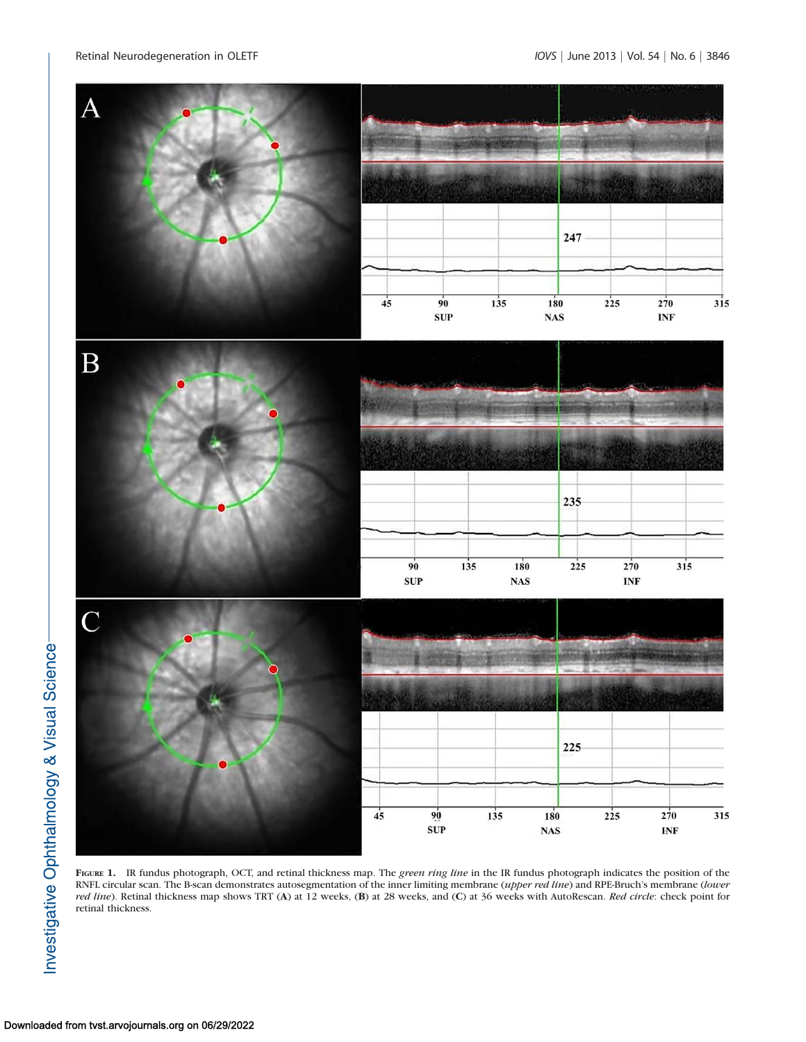

FIGURE 1. IR fundus photograph, OCT, and retinal thickness map. The green ring line in the IR fundus photograph indicates the position of the RNFL circular scan. The B-scan demonstrates autosegmentation of the inner limiting membrane (upper red line) and RPE-Bruch's membrane (lower red line). Retinal thickness map shows TRT (A) at 12 weeks, (B) at 28 weeks, and (C) at 36 weeks with AutoRescan. Red circle: check point for retinal thickness.

## Downloaded from tvst.arvojournals.org on 06/29/2022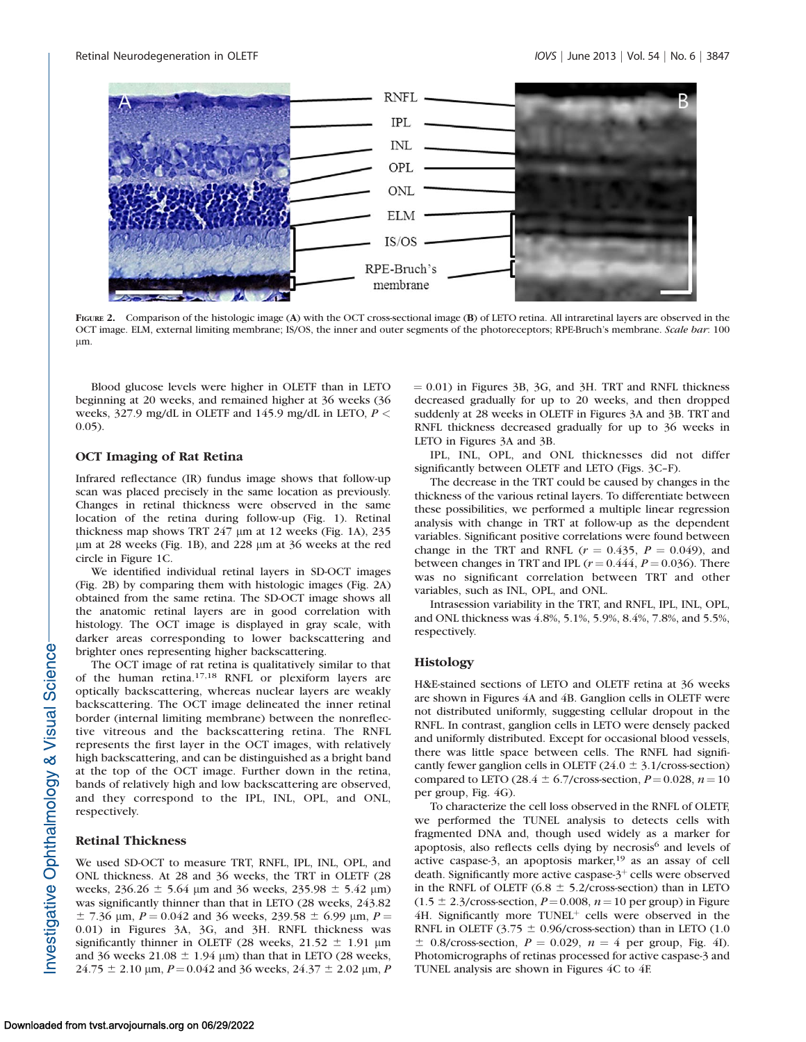

FIGURE 2. Comparison of the histologic image (A) with the OCT cross-sectional image (B) of LETO retina. All intraretinal layers are observed in the OCT image. ELM, external limiting membrane; IS/OS, the inner and outer segments of the photoreceptors; RPE-Bruch's membrane. Scale bar: 100 lm.

Blood glucose levels were higher in OLETF than in LETO beginning at 20 weeks, and remained higher at 36 weeks (36 weeks, 327.9 mg/dL in OLETF and 145.9 mg/dL in LETO,  $P <$ 0.05).

# OCT Imaging of Rat Retina

Infrared reflectance (IR) fundus image shows that follow-up scan was placed precisely in the same location as previously. Changes in retinal thickness were observed in the same location of the retina during follow-up (Fig. 1). Retinal thickness map shows TRT  $247 \mu m$  at 12 weeks (Fig. 1A),  $235 \mu m$ lm at 28 weeks (Fig. 1B), and 228 lm at 36 weeks at the red circle in Figure 1C.

We identified individual retinal layers in SD-OCT images (Fig. 2B) by comparing them with histologic images (Fig. 2A) obtained from the same retina. The SD-OCT image shows all the anatomic retinal layers are in good correlation with histology. The OCT image is displayed in gray scale, with darker areas corresponding to lower backscattering and brighter ones representing higher backscattering.

The OCT image of rat retina is qualitatively similar to that of the human retina.17,18 RNFL or plexiform layers are optically backscattering, whereas nuclear layers are weakly backscattering. The OCT image delineated the inner retinal border (internal limiting membrane) between the nonreflective vitreous and the backscattering retina. The RNFL represents the first layer in the OCT images, with relatively high backscattering, and can be distinguished as a bright band at the top of the OCT image. Further down in the retina, bands of relatively high and low backscattering are observed, and they correspond to the IPL, INL, OPL, and ONL, respectively.

# Retinal Thickness

We used SD-OCT to measure TRT, RNFL, IPL, INL, OPL, and ONL thickness. At 28 and 36 weeks, the TRT in OLETF (28 weeks,  $236.26 \pm 5.64$  µm and 36 weeks,  $235.98 \pm 5.42$  µm) was significantly thinner than that in LETO (28 weeks, 243.82  $\pm$  7.36 µm,  $P = 0.042$  and 36 weeks, 239.58  $\pm$  6.99 µm,  $P =$ 0.01) in Figures 3A, 3G, and 3H. RNFL thickness was significantly thinner in OLETF (28 weeks,  $21.52 \pm 1.91$  µm and 36 weeks 21.08  $\pm$  1.94 µm) than that in LETO (28 weeks,  $24.75 \pm 2.10$  µm,  $P = 0.042$  and 36 weeks,  $24.37 \pm 2.02$  µm, P

 $= 0.01$ ) in Figures 3B, 3G, and 3H. TRT and RNFL thickness decreased gradually for up to 20 weeks, and then dropped suddenly at 28 weeks in OLETF in Figures 3A and 3B. TRT and RNFL thickness decreased gradually for up to 36 weeks in LETO in Figures 3A and 3B.

IPL, INL, OPL, and ONL thicknesses did not differ significantly between OLETF and LETO (Figs. 3C–F).

The decrease in the TRT could be caused by changes in the thickness of the various retinal layers. To differentiate between these possibilities, we performed a multiple linear regression analysis with change in TRT at follow-up as the dependent variables. Significant positive correlations were found between change in the TRT and RNFL ( $r = 0.435$ ,  $P = 0.049$ ), and between changes in TRT and IPL ( $r = 0.444$ ,  $P = 0.036$ ). There was no significant correlation between TRT and other variables, such as INL, OPL, and ONL.

Intrasession variability in the TRT, and RNFL, IPL, INL, OPL, and ONL thickness was 4.8%, 5.1%, 5.9%, 8.4%, 7.8%, and 5.5%, respectively.

#### Histology

H&E-stained sections of LETO and OLETF retina at 36 weeks are shown in Figures 4A and 4B. Ganglion cells in OLETF were not distributed uniformly, suggesting cellular dropout in the RNFL. In contrast, ganglion cells in LETO were densely packed and uniformly distributed. Except for occasional blood vessels, there was little space between cells. The RNFL had significantly fewer ganglion cells in OLETF ( $24.0 \pm 3.1$ /cross-section) compared to LETO (28.4  $\pm$  6.7/cross-section,  $P = 0.028$ ,  $n = 10$ per group, Fig. 4G).

To characterize the cell loss observed in the RNFL of OLETF, we performed the TUNEL analysis to detects cells with fragmented DNA and, though used widely as a marker for apoptosis, also reflects cells dying by necrosis<sup>6</sup> and levels of active caspase-3, an apoptosis marker, $19$  as an assay of cell death. Significantly more active caspase- $3^+$  cells were observed in the RNFL of OLETF (6.8  $\pm$  5.2/cross-section) than in LETO  $(1.5 \pm 2.3/cross-section, P=0.008, n=10 per group)$  in Figure  $4H$ . Significantly more TUNEL<sup>+</sup> cells were observed in the RNFL in OLETF (3.75  $\pm$  0.96/cross-section) than in LETO (1.0)  $\pm$  0.8/cross-section,  $P = 0.029$ ,  $n = 4$  per group, Fig. 4I). Photomicrographs of retinas processed for active caspase-3 and TUNEL analysis are shown in Figures 4C to 4F.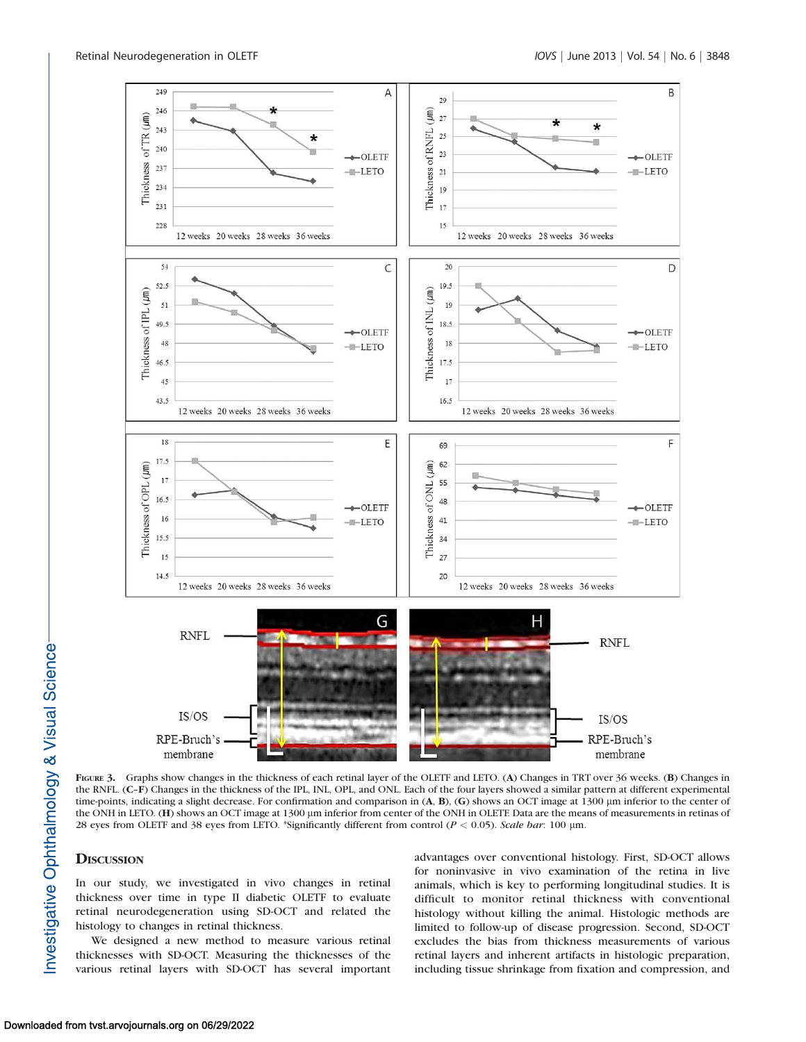

FIGURE 3. Graphs show changes in the thickness of each retinal layer of the OLETF and LETO. (A) Changes in TRT over 36 weeks. (B) Changes in the RNFL. (C–F) Changes in the thickness of the IPL, INL, OPL, and ONL. Each of the four layers showed a similar pattern at different experimental time-points, indicating a slight decrease. For confirmation and comparison in (A, B), (G) shows an OCT image at 1300 µm inferior to the center of the ONH in LETO. (H) shows an OCT image at 1300 µm inferior from center of the ONH in OLETF. Data are the means of measurements in retinas of 28 eyes from OLETF and 38 eyes from LETO. \*Significantly different from control ( $P < 0.05$ ). Scale bar: 100 µm.

# **DISCUSSION**

In our study, we investigated in vivo changes in retinal thickness over time in type II diabetic OLETF to evaluate retinal neurodegeneration using SD-OCT and related the histology to changes in retinal thickness.

We designed a new method to measure various retinal thicknesses with SD-OCT. Measuring the thicknesses of the various retinal layers with SD-OCT has several important advantages over conventional histology. First, SD-OCT allows for noninvasive in vivo examination of the retina in live animals, which is key to performing longitudinal studies. It is difficult to monitor retinal thickness with conventional histology without killing the animal. Histologic methods are limited to follow-up of disease progression. Second, SD-OCT excludes the bias from thickness measurements of various retinal layers and inherent artifacts in histologic preparation, including tissue shrinkage from fixation and compression, and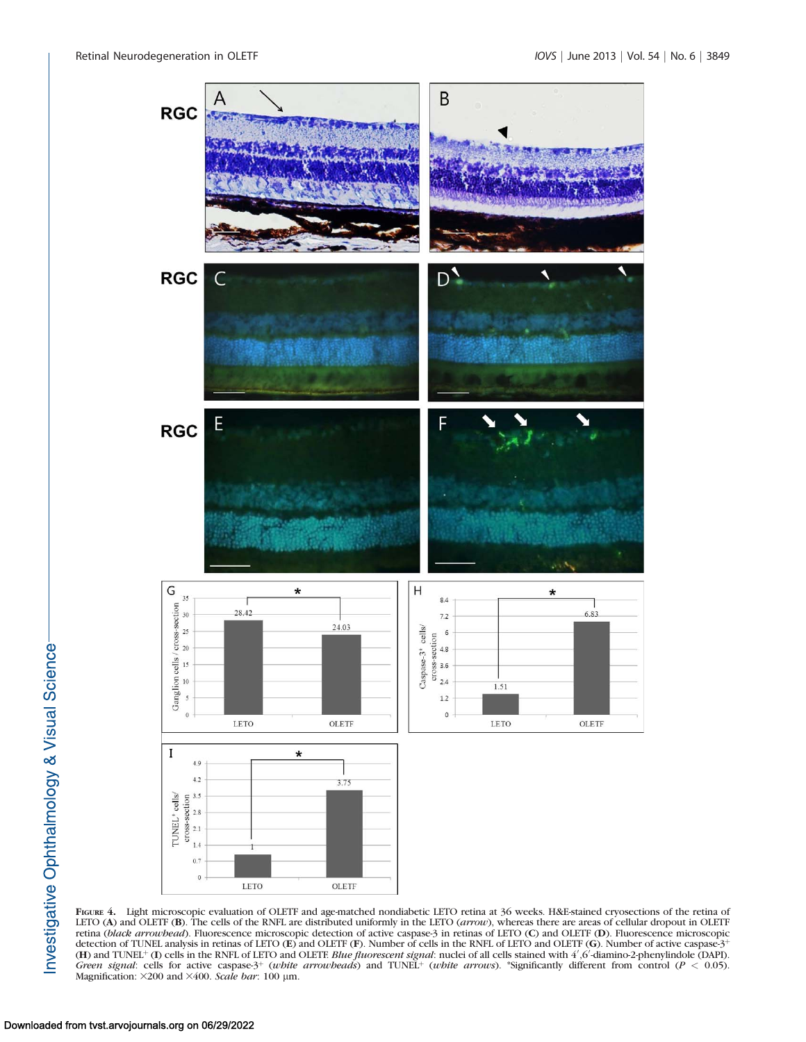

FIGURE 4. Light microscopic evaluation of OLETF and age-matched nondiabetic LETO retina at 36 weeks. H&E-stained cryosections of the retina of LETO (A) and OLETF (B). The cells of the RNFL are distributed uniformly in the LETO (arrow), whereas there are areas of cellular dropout in OLETF retina (black arrowhead). Fluorescence microscopic detection of active caspase-3 in retinas of LETO (C) and OLETF (D). Fluorescence microscopic detection of TUNEL analysis in retinas of LETO (E) and OLETF (F). Number of cells in the RNFL of LETO and OLETF (G). Number of active caspase-3<sup>+</sup> (H) and TUNEL<sup>+</sup> (I) cells in the RNFL of LETO and OLETF. *Blue fluorescent signal*: nuclei of all cells stained with  $4^{\prime}$ ,6'-diamino-2-phenylindole (DAPI). Green signal: cells for active caspase-3<sup>+</sup> (white arrowheads) and TUNEL<sup>+</sup> (white arrows). \*Significantly different from control ( $P < 0.05$ ). Magnification:  $\times$ 200 and  $\times$ 400. Scale bar: 100 µm.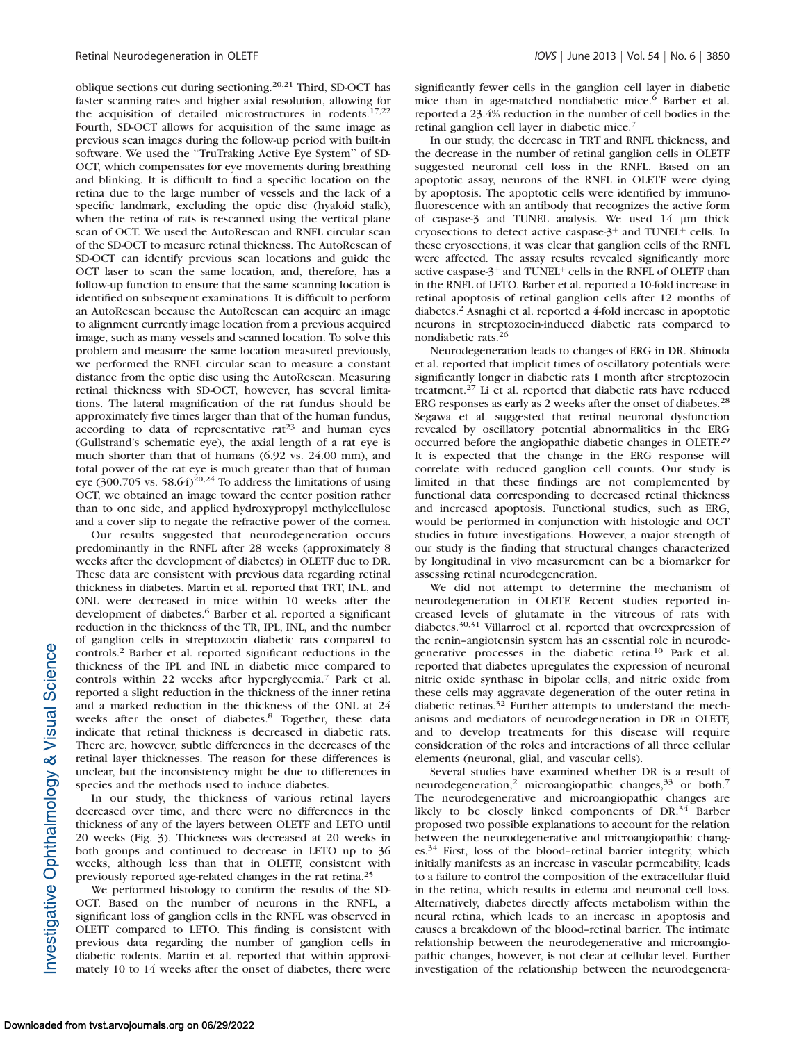oblique sections cut during sectioning.20,21 Third, SD-OCT has faster scanning rates and higher axial resolution, allowing for the acquisition of detailed microstructures in rodents.<sup>17,22</sup> Fourth, SD-OCT allows for acquisition of the same image as previous scan images during the follow-up period with built-in software. We used the ''TruTraking Active Eye System'' of SD-OCT, which compensates for eye movements during breathing and blinking. It is difficult to find a specific location on the retina due to the large number of vessels and the lack of a specific landmark, excluding the optic disc (hyaloid stalk), when the retina of rats is rescanned using the vertical plane scan of OCT. We used the AutoRescan and RNFL circular scan of the SD-OCT to measure retinal thickness. The AutoRescan of SD-OCT can identify previous scan locations and guide the OCT laser to scan the same location, and, therefore, has a follow-up function to ensure that the same scanning location is identified on subsequent examinations. It is difficult to perform an AutoRescan because the AutoRescan can acquire an image to alignment currently image location from a previous acquired image, such as many vessels and scanned location. To solve this problem and measure the same location measured previously, we performed the RNFL circular scan to measure a constant distance from the optic disc using the AutoRescan. Measuring retinal thickness with SD-OCT, however, has several limitations. The lateral magnification of the rat fundus should be approximately five times larger than that of the human fundus, according to data of representative  $rat^{23}$  and human eyes (Gullstrand's schematic eye), the axial length of a rat eye is much shorter than that of humans (6.92 vs. 24.00 mm), and total power of the rat eye is much greater than that of human eye (300.705 vs. 58.64)<sup>20,24</sup> To address the limitations of using OCT, we obtained an image toward the center position rather than to one side, and applied hydroxypropyl methylcellulose and a cover slip to negate the refractive power of the cornea.

Our results suggested that neurodegeneration occurs predominantly in the RNFL after 28 weeks (approximately 8 weeks after the development of diabetes) in OLETF due to DR. These data are consistent with previous data regarding retinal thickness in diabetes. Martin et al. reported that TRT, INL, and ONL were decreased in mice within 10 weeks after the development of diabetes.<sup>6</sup> Barber et al. reported a significant reduction in the thickness of the TR, IPL, INL, and the number of ganglion cells in streptozocin diabetic rats compared to controls.<sup>2</sup> Barber et al. reported significant reductions in the thickness of the IPL and INL in diabetic mice compared to controls within 22 weeks after hyperglycemia.7 Park et al. reported a slight reduction in the thickness of the inner retina and a marked reduction in the thickness of the ONL at 24 weeks after the onset of diabetes.<sup>8</sup> Together, these data indicate that retinal thickness is decreased in diabetic rats. There are, however, subtle differences in the decreases of the retinal layer thicknesses. The reason for these differences is unclear, but the inconsistency might be due to differences in species and the methods used to induce diabetes.

In our study, the thickness of various retinal layers decreased over time, and there were no differences in the thickness of any of the layers between OLETF and LETO until 20 weeks (Fig. 3). Thickness was decreased at 20 weeks in both groups and continued to decrease in LETO up to 36 weeks, although less than that in OLETF, consistent with previously reported age-related changes in the rat retina.<sup>25</sup>

We performed histology to confirm the results of the SD-OCT. Based on the number of neurons in the RNFL, a significant loss of ganglion cells in the RNFL was observed in OLETF compared to LETO. This finding is consistent with previous data regarding the number of ganglion cells in diabetic rodents. Martin et al. reported that within approximately 10 to 14 weeks after the onset of diabetes, there were significantly fewer cells in the ganglion cell layer in diabetic mice than in age-matched nondiabetic mice.<sup>6</sup> Barber et al. reported a 23.4% reduction in the number of cell bodies in the retinal ganglion cell layer in diabetic mice.<sup>7</sup>

In our study, the decrease in TRT and RNFL thickness, and the decrease in the number of retinal ganglion cells in OLETF suggested neuronal cell loss in the RNFL. Based on an apoptotic assay, neurons of the RNFL in OLETF were dying by apoptosis. The apoptotic cells were identified by immunofluorescence with an antibody that recognizes the active form of caspase-3 and TUNEL analysis. We used 14 lm thick cryosections to detect active caspase- $3^+$  and TUNEL<sup>+</sup> cells. In these cryosections, it was clear that ganglion cells of the RNFL were affected. The assay results revealed significantly more active caspase- $3^+$  and TUNEL<sup>+</sup> cells in the RNFL of OLETF than in the RNFL of LETO. Barber et al. reported a 10-fold increase in retinal apoptosis of retinal ganglion cells after 12 months of diabetes.<sup>2</sup> Asnaghi et al. reported a 4-fold increase in apoptotic neurons in streptozocin-induced diabetic rats compared to nondiabetic rats.<sup>26</sup>

Neurodegeneration leads to changes of ERG in DR. Shinoda et al. reported that implicit times of oscillatory potentials were significantly longer in diabetic rats 1 month after streptozocin treatment.<sup>27</sup> Li et al. reported that diabetic rats have reduced ERG responses as early as 2 weeks after the onset of diabetes.<sup>28</sup> Segawa et al. suggested that retinal neuronal dysfunction revealed by oscillatory potential abnormalities in the ERG occurred before the angiopathic diabetic changes in OLETE<sup>29</sup> It is expected that the change in the ERG response will correlate with reduced ganglion cell counts. Our study is limited in that these findings are not complemented by functional data corresponding to decreased retinal thickness and increased apoptosis. Functional studies, such as ERG, would be performed in conjunction with histologic and OCT studies in future investigations. However, a major strength of our study is the finding that structural changes characterized by longitudinal in vivo measurement can be a biomarker for assessing retinal neurodegeneration.

We did not attempt to determine the mechanism of neurodegeneration in OLETF. Recent studies reported increased levels of glutamate in the vitreous of rats with diabetes.30,31 Villarroel et al. reported that overexpression of the renin–angiotensin system has an essential role in neurodegenerative processes in the diabetic retina.<sup>10</sup> Park et al. reported that diabetes upregulates the expression of neuronal nitric oxide synthase in bipolar cells, and nitric oxide from these cells may aggravate degeneration of the outer retina in diabetic retinas.<sup>32</sup> Further attempts to understand the mechanisms and mediators of neurodegeneration in DR in OLETF, and to develop treatments for this disease will require consideration of the roles and interactions of all three cellular elements (neuronal, glial, and vascular cells).

Several studies have examined whether DR is a result of neurodegeneration,<sup>2</sup> microangiopathic changes, $33$  or both.<sup>7</sup> The neurodegenerative and microangiopathic changes are likely to be closely linked components of DR.<sup>34</sup> Barber proposed two possible explanations to account for the relation between the neurodegenerative and microangiopathic changes.<sup>34</sup> First, loss of the blood–retinal barrier integrity, which initially manifests as an increase in vascular permeability, leads to a failure to control the composition of the extracellular fluid in the retina, which results in edema and neuronal cell loss. Alternatively, diabetes directly affects metabolism within the neural retina, which leads to an increase in apoptosis and causes a breakdown of the blood–retinal barrier. The intimate relationship between the neurodegenerative and microangiopathic changes, however, is not clear at cellular level. Further investigation of the relationship between the neurodegenera